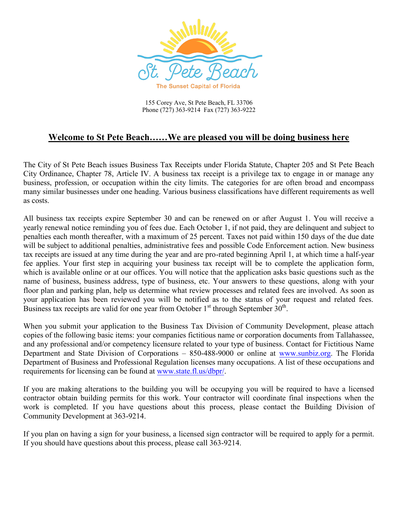

155 Corey Ave, St Pete Beach, FL 33706 Phone (727) 363-9214 Fax (727) 363-9222

## **Welcome to St Pete Beach……We are pleased you will be doing business here**

The City of St Pete Beach issues Business Tax Receipts under Florida Statute, Chapter 205 and St Pete Beach City Ordinance, Chapter 78, Article IV. A business tax receipt is a privilege tax to engage in or manage any business, profession, or occupation within the city limits. The categories for are often broad and encompass many similar businesses under one heading. Various business classifications have different requirements as well as costs.

All business tax receipts expire September 30 and can be renewed on or after August 1. You will receive a yearly renewal notice reminding you of fees due. Each October 1, if not paid, they are delinquent and subject to penalties each month thereafter, with a maximum of 25 percent. Taxes not paid within 150 days of the due date will be subject to additional penalties, administrative fees and possible Code Enforcement action. New business tax receipts are issued at any time during the year and are pro-rated beginning April 1, at which time a half-year fee applies. Your first step in acquiring your business tax receipt will be to complete the application form, which is available online or at our offices. You will notice that the application asks basic questions such as the name of business, business address, type of business, etc. Your answers to these questions, along with your floor plan and parking plan, help us determine what review processes and related fees are involved. As soon as your application has been reviewed you will be notified as to the status of your request and related fees. Business tax receipts are valid for one year from October  $1<sup>st</sup>$  through September  $30<sup>th</sup>$ .

When you submit your application to the Business Tax Division of Community Development, please attach copies of the following basic items: your companies fictitious name or corporation documents from Tallahassee, and any professional and/or competency licensure related to your type of business. Contact for Fictitious Name Department and State Division of Corporations – 850-488-9000 or online at [www.sunbiz.org.](http://www.sunbiz.org/) The Florida Department of Business and Professional Regulation licenses many occupations. A list of these occupations and requirements for licensing can be found at [www.state.fl.us/dbpr/.](http://www.state.fl.us/dbpr/)

If you are making alterations to the building you will be occupying you will be required to have a licensed contractor obtain building permits for this work. Your contractor will coordinate final inspections when the work is completed. If you have questions about this process, please contact the Building Division of Community Development at 363-9214.

If you plan on having a sign for your business, a licensed sign contractor will be required to apply for a permit. If you should have questions about this process, please call 363-9214.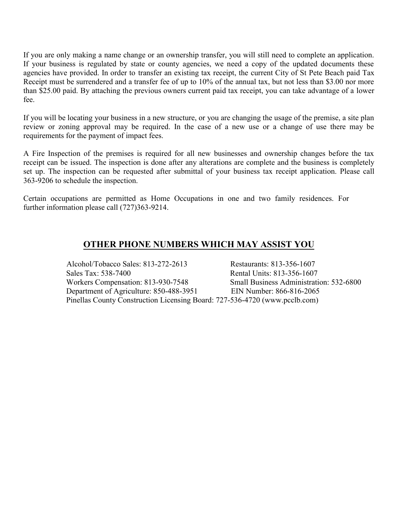If you are only making a name change or an ownership transfer, you will still need to complete an application. If your business is regulated by state or county agencies, we need a copy of the updated documents these agencies have provided. In order to transfer an existing tax receipt, the current City of St Pete Beach paid Tax Receipt must be surrendered and a transfer fee of up to 10% of the annual tax, but not less than \$3.00 nor more than \$25.00 paid. By attaching the previous owners current paid tax receipt, you can take advantage of a lower fee.

If you will be locating your business in a new structure, or you are changing the usage of the premise, a site plan review or zoning approval may be required. In the case of a new use or a change of use there may be requirements for the payment of impact fees.

A Fire Inspection of the premises is required for all new businesses and ownership changes before the tax receipt can be issued. The inspection is done after any alterations are complete and the business is completely set up. The inspection can be requested after submittal of your business tax receipt application. Please call 363-9206 to schedule the inspection.

Certain occupations are permitted as Home Occupations in one and two family residences. For further information please call (727)363-9214.

## **OTHER PHONE NUMBERS WHICH MAY ASSIST YOU**

Alcohol/Tobacco Sales: 813-272-2613 Restaurants: 813-356-1607 Sales Tax: 538-7400 Rental Units: 813-356-1607 Workers Compensation: 813-930-7548 Small Business Administration: 532-6800 Department of Agriculture: 850-488-3951 EIN Number: 866-816-2065 Pinellas County Construction Licensing Board: 727-536-4720 (www.pcclb.com)